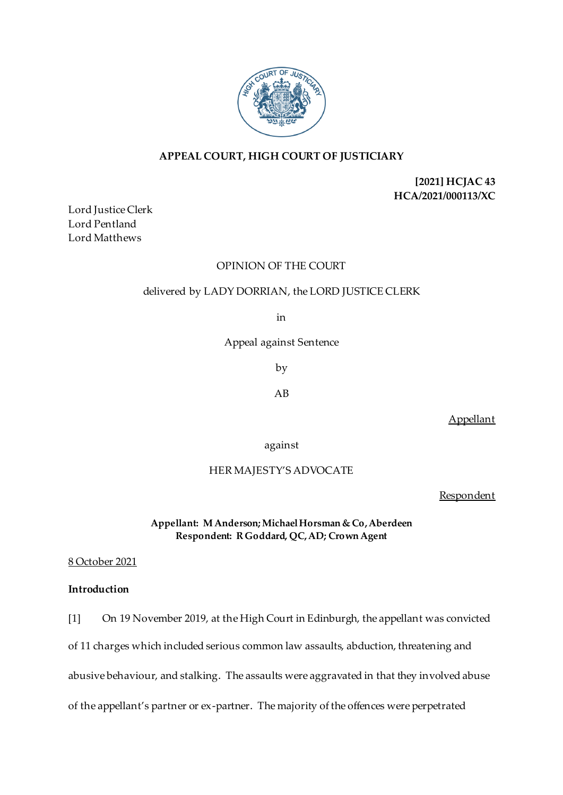

# **APPEAL COURT, HIGH COURT OF JUSTICIARY**

**[2021] HCJAC 43 HCA/2021/000113/XC**

Lord Justice Clerk Lord Pentland Lord Matthews

# OPINION OF THE COURT

# delivered by LADY DORRIAN, the LORD JUSTICE CLERK

in

Appeal against Sentence

by

AB

Appellant

against

# HER MAJESTY'S ADVOCATE

**Respondent** 

**Appellant: M Anderson; Michael Horsman & Co, Aberdeen Respondent: R Goddard, QC, AD; Crown Agent** 

8 October 2021

# **Introduction**

[1] On 19 November 2019, at the High Court in Edinburgh, the appellant was convicted

of 11 charges which included serious common law assaults, abduction, threatening and

abusive behaviour, and stalking. The assaults were aggravated in that they involved abuse

of the appellant's partner or ex-partner. The majority of the offences were perpetrated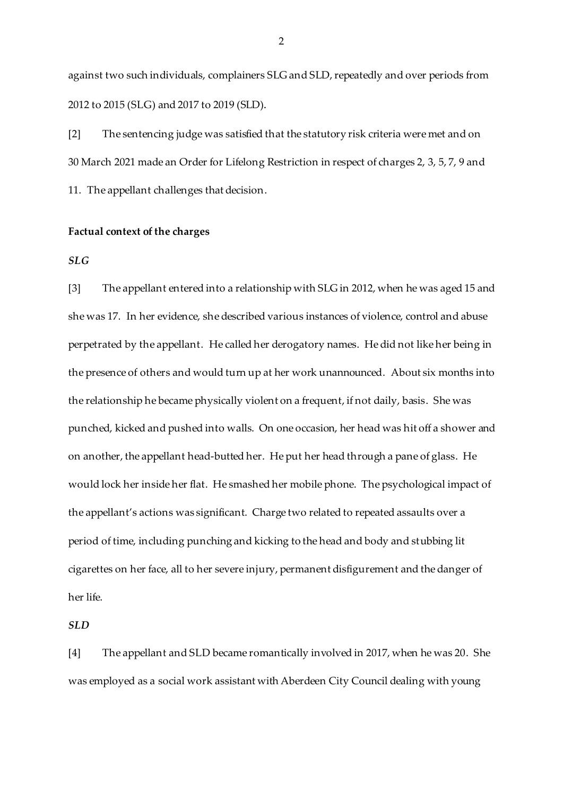against two such individuals, complainers SLG and SLD, repeatedly and over periods from 2012 to 2015 (SLG) and 2017 to 2019 (SLD).

[2] The sentencing judge was satisfied that the statutory risk criteria were met and on 30 March 2021 made an Order for Lifelong Restriction in respect of charges 2, 3, 5, 7, 9 and 11. The appellant challenges that decision.

### **Factual context of the charges**

#### *SLG*

[3] The appellant entered into a relationship with SLG in 2012, when he was aged 15 and she was 17. In her evidence, she described various instances of violence, control and abuse perpetrated by the appellant. He called her derogatory names. He did not like her being in the presence of others and would turn up at her work unannounced. About six months into the relationship he became physically violent on a frequent, if not daily, basis. She was punched, kicked and pushed into walls. On one occasion, her head was hit off a shower and on another, the appellant head-butted her. He put her head through a pane of glass. He would lock her inside her flat. He smashed her mobile phone. The psychological impact of the appellant's actions was significant. Charge two related to repeated assaults over a period of time, including punching and kicking to the head and body and stubbing lit cigarettes on her face, all to her severe injury, permanent disfigurement and the danger of her life.

## *SLD*

[4] The appellant and SLD became romantically involved in 2017, when he was 20. She was employed as a social work assistant with Aberdeen City Council dealing with young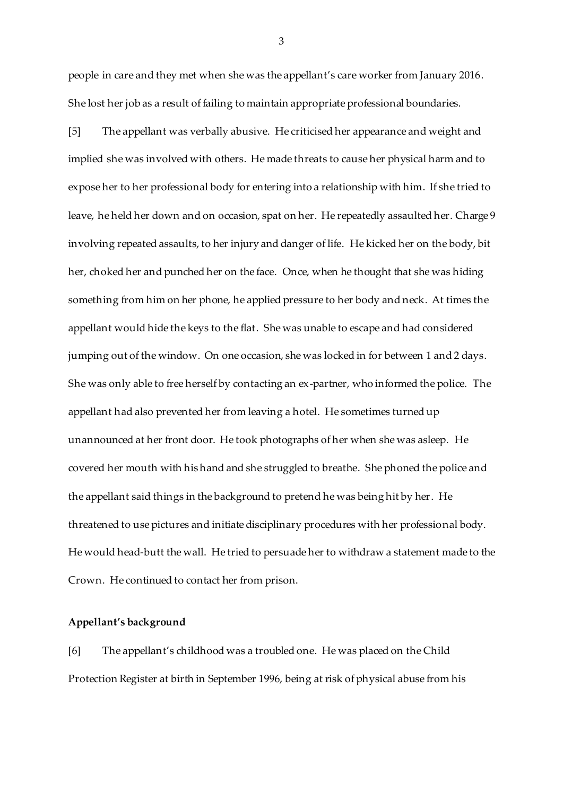people in care and they met when she was the appellant's care worker from January 2016. She lost her job as a result of failing to maintain appropriate professional boundaries.

[5] The appellant was verbally abusive. He criticised her appearance and weight and implied she was involved with others. He made threats to cause her physical harm and to expose her to her professional body for entering into a relationship with him. If she tried to leave, he held her down and on occasion, spat on her. He repeatedly assaulted her. Charge 9 involving repeated assaults, to her injury and danger of life. He kicked her on the body, bit her, choked her and punched her on the face. Once, when he thought that she was hiding something from him on her phone, he applied pressure to her body and neck. At times the appellant would hide the keys to the flat. She was unable to escape and had considered jumping out of the window. On one occasion, she was locked in for between 1 and 2 days. She was only able to free herself by contacting an ex-partner, who informed the police. The appellant had also prevented her from leaving a hotel. He sometimes turned up unannounced at her front door. He took photographs of her when she was asleep. He covered her mouth with his hand and she struggled to breathe. She phoned the police and the appellant said things in the background to pretend he was being hit by her. He threatened to use pictures and initiate disciplinary procedures with her professional body. He would head-butt the wall. He tried to persuade her to withdraw a statement made to the Crown. He continued to contact her from prison.

#### **Appellant's background**

[6] The appellant's childhood was a troubled one. He was placed on the Child Protection Register at birth in September 1996, being at risk of physical abuse from his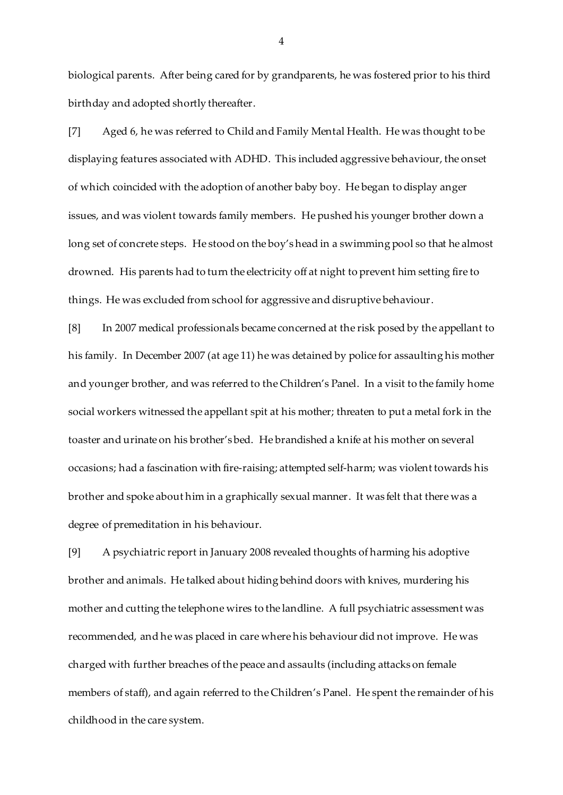biological parents. After being cared for by grandparents, he was fostered prior to his third birthday and adopted shortly thereafter.

[7] Aged 6, he was referred to Child and Family Mental Health. He was thought to be displaying features associated with ADHD. This included aggressive behaviour, the onset of which coincided with the adoption of another baby boy. He began to display anger issues, and was violent towards family members. He pushed his younger brother down a long set of concrete steps. He stood on the boy's head in a swimming pool so that he almost drowned. His parents had to turn the electricity off at night to prevent him setting fire to things. He was excluded from school for aggressive and disruptive behaviour.

[8] In 2007 medical professionals became concerned at the risk posed by the appellant to his family. In December 2007 (at age 11) he was detained by police for assaulting his mother and younger brother, and was referred to the Children's Panel. In a visit to the family home social workers witnessed the appellant spit at his mother; threaten to put a metal fork in the toaster and urinate on his brother's bed. He brandished a knife at his mother on several occasions; had a fascination with fire-raising; attempted self-harm; was violent towards his brother and spoke about him in a graphically sexual manner. It was felt that there was a degree of premeditation in his behaviour.

[9] A psychiatric report in January 2008 revealed thoughts of harming his adoptive brother and animals. He talked about hiding behind doors with knives, murdering his mother and cutting the telephone wires to the landline. A full psychiatric assessment was recommended, and he was placed in care where his behaviour did not improve. He was charged with further breaches of the peace and assaults (including attacks on female members of staff), and again referred to the Children's Panel. He spent the remainder of his childhood in the care system.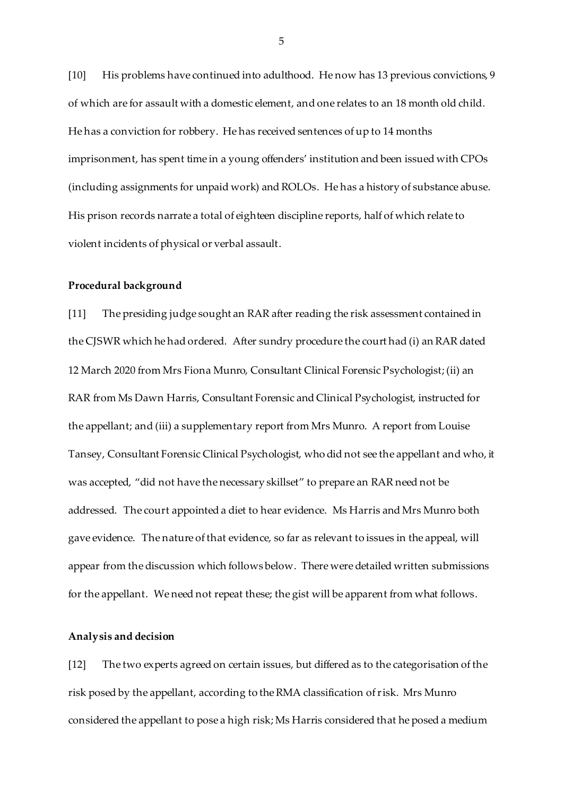[10] His problems have continued into adulthood. He now has 13 previous convictions, 9 of which are for assault with a domestic element, and one relates to an 18 month old child. He has a conviction for robbery. He has received sentences of up to 14 months imprisonment, has spent time in a young offenders' institution and been issued with CPOs (including assignments for unpaid work) and ROLOs. He has a history of substance abuse. His prison records narrate a total of eighteen discipline reports, half of which relate to violent incidents of physical or verbal assault.

#### **Procedural background**

[11] The presiding judge sought an RAR after reading the risk assessment contained in the CJSWR which he had ordered. After sundry procedure the court had (i) an RAR dated 12 March 2020 from Mrs Fiona Munro, Consultant Clinical Forensic Psychologist; (ii) an RAR from Ms Dawn Harris, Consultant Forensic and Clinical Psychologist, instructed for the appellant; and (iii) a supplementary report from Mrs Munro. A report from Louise Tansey, Consultant Forensic Clinical Psychologist, who did not see the appellant and who, it was accepted, "did not have the necessary skillset" to prepare an RAR need not be addressed. The court appointed a diet to hear evidence. Ms Harris and Mrs Munro both gave evidence. The nature of that evidence, so far as relevant to issues in the appeal, will appear from the discussion which follows below. There were detailed written submissions for the appellant. We need not repeat these; the gist will be apparent from what follows.

## **Analysis and decision**

[12] The two experts agreed on certain issues, but differed as to the categorisation of the risk posed by the appellant, according to the RMA classification of risk. Mrs Munro considered the appellant to pose a high risk; Ms Harris considered that he posed a medium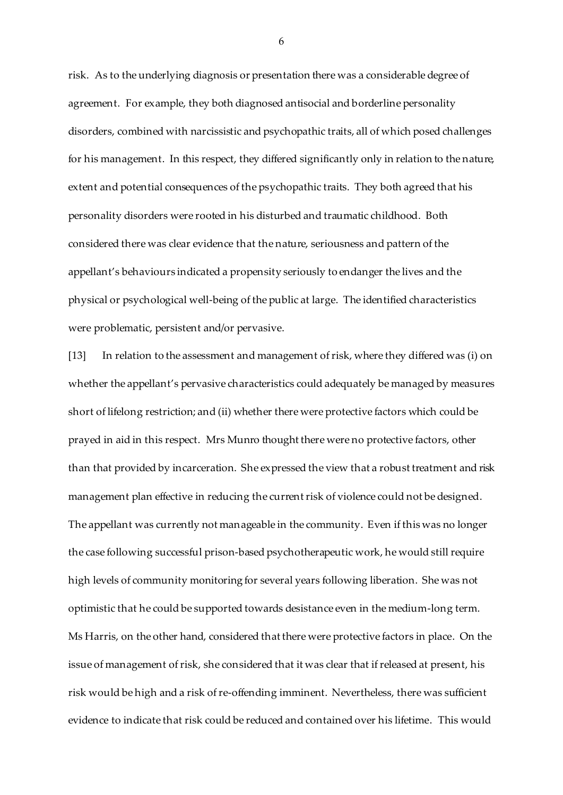risk. As to the underlying diagnosis or presentation there was a considerable degree of agreement. For example, they both diagnosed antisocial and borderline personality disorders, combined with narcissistic and psychopathic traits, all of which posed challenges for his management. In this respect, they differed significantly only in relation to the nature, extent and potential consequences of the psychopathic traits. They both agreed that his personality disorders were rooted in his disturbed and traumatic childhood. Both considered there was clear evidence that the nature, seriousness and pattern of the appellant's behaviours indicated a propensity seriously to endanger the lives and the physical or psychological well-being of the public at large. The identified characteristics were problematic, persistent and/or pervasive.

[13] In relation to the assessment and management of risk, where they differed was (i) on whether the appellant's pervasive characteristics could adequately be managed by measures short of lifelong restriction; and (ii) whether there were protective factors which could be prayed in aid in this respect. Mrs Munro thought there were no protective factors, other than that provided by incarceration. She expressed the view that a robust treatment and risk management plan effective in reducing the current risk of violence could not be designed. The appellant was currently not manageable in the community. Even if this was no longer the case following successful prison-based psychotherapeutic work, he would still require high levels of community monitoring for several years following liberation. She was not optimistic that he could be supported towards desistance even in the medium-long term. Ms Harris, on the other hand, considered that there were protective factors in place. On the issue of management of risk, she considered that it was clear that if released at present, his risk would be high and a risk of re-offending imminent. Nevertheless, there was sufficient evidence to indicate that risk could be reduced and contained over his lifetime. This would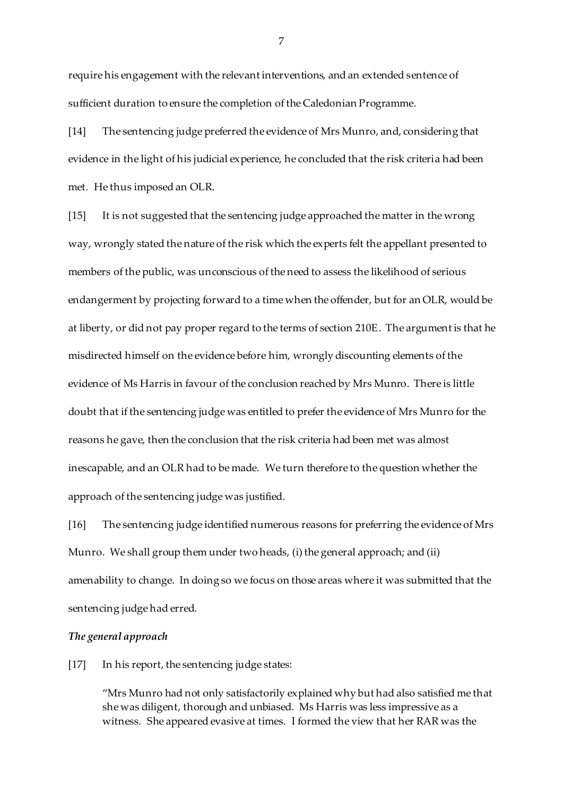require his engagement with the relevant interventions, and an extended sentence of sufficient duration to ensure the completion of the Caledonian Programme.

[14] The sentencing judge preferred the evidence of Mrs Munro, and, considering that evidence in the light of his judicial experience, he concluded that the risk criteria had been met. He thus imposed an OLR.

[15] It is not suggested that the sentencing judge approached the matter in the wrong way, wrongly stated the nature of the risk which the experts felt the appellant presented to members of the public, was unconscious of the need to assess the likelihood of serious endangerment by projecting forward to a time when the offender, but for an OLR, would be at liberty, or did not pay proper regard to the terms of section 210E. The argument is that he misdirected himself on the evidence before him, wrongly discounting elements of the evidence of Ms Harris in favour of the conclusion reached by Mrs Munro. There is little doubt that if the sentencing judge was entitled to prefer the evidence of Mrs Munro for the reasons he gave, then the conclusion that the risk criteria had been met was almost inescapable, and an OLR had to be made. We turn therefore to the question whether the approach of the sentencing judge was justified.

[16] The sentencing judge identified numerous reasons for preferring the evidence of Mrs Munro. We shall group them under two heads, (i) the general approach; and (ii) amenability to change. In doing so we focus on those areas where it was submitted that the sentencing judge had erred.

## *The general approach*

[17] In his report, the sentencing judge states:

"Mrs Munro had not only satisfactorily explained why but had also satisfied me that she was diligent, thorough and unbiased. Ms Harris was less impressive as a witness. She appeared evasive at times. I formed the view that her RAR was the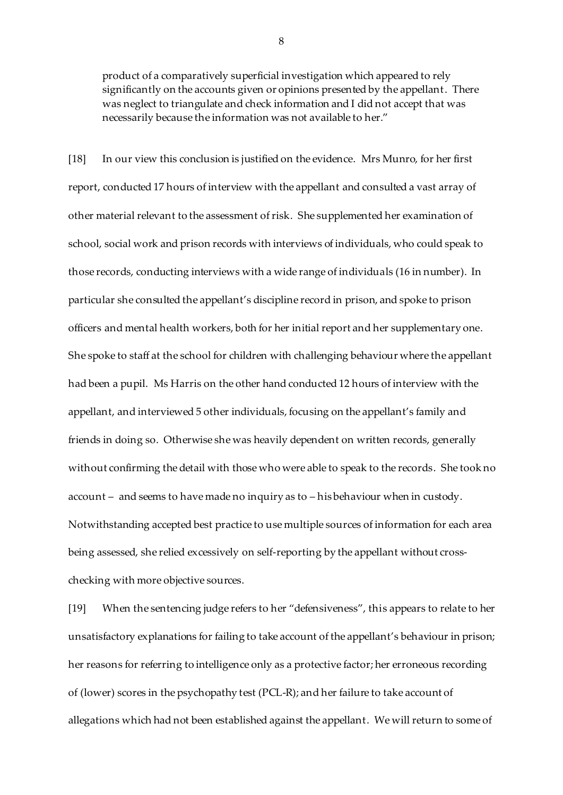product of a comparatively superficial investigation which appeared to rely significantly on the accounts given or opinions presented by the appellant. There was neglect to triangulate and check information and I did not accept that was necessarily because the information was not available to her."

[18] In our view this conclusion is justified on the evidence. Mrs Munro, for her first report, conducted 17 hours of interview with the appellant and consulted a vast array of other material relevant to the assessment of risk. She supplemented her examination of school, social work and prison records with interviews of individuals, who could speak to those records, conducting interviews with a wide range of individuals (16 in number). In particular she consulted the appellant's discipline record in prison, and spoke to prison officers and mental health workers, both for her initial report and her supplementary one. She spoke to staff at the school for children with challenging behaviour where the appellant had been a pupil. Ms Harris on the other hand conducted 12 hours of interview with the appellant, and interviewed 5 other individuals, focusing on the appellant's family and friends in doing so. Otherwise she was heavily dependent on written records, generally without confirming the detail with those who were able to speak to the records. She took no account – and seems to have made no inquiry as to – his behaviour when in custody. Notwithstanding accepted best practice to use multiple sources of information for each area being assessed, she relied excessively on self-reporting by the appellant without crosschecking with more objective sources.

[19] When the sentencing judge refers to her "defensiveness", this appears to relate to her unsatisfactory explanations for failing to take account of the appellant's behaviour in prison; her reasons for referring to intelligence only as a protective factor; her erroneous recording of (lower) scores in the psychopathy test (PCL-R); and her failure to take account of allegations which had not been established against the appellant. We will return to some of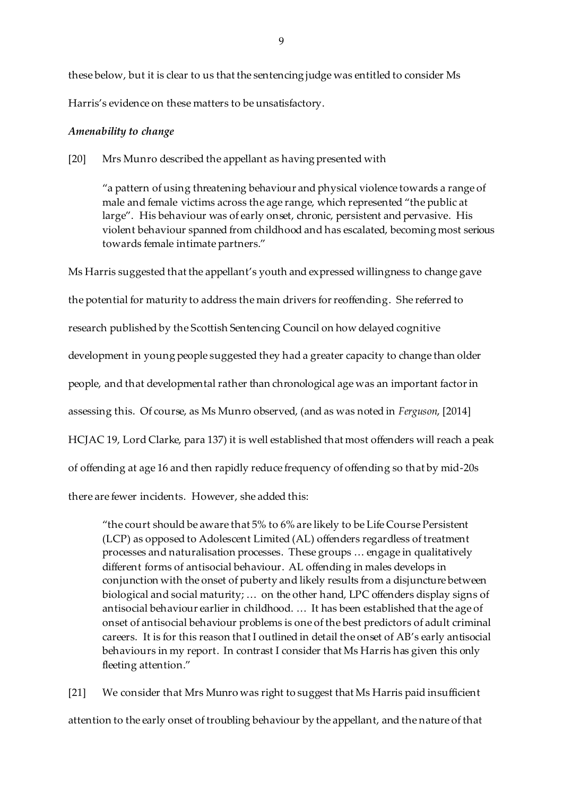these below, but it is clear to us that the sentencing judge was entitled to consider Ms Harris's evidence on these matters to be unsatisfactory.

# *Amenability to change*

# [20] Mrs Munro described the appellant as having presented with

"a pattern of using threatening behaviour and physical violence towards a range of male and female victims across the age range, which represented "the public at large". His behaviour was of early onset, chronic, persistent and pervasive. His violent behaviour spanned from childhood and has escalated, becoming most serious towards female intimate partners."

Ms Harris suggested that the appellant's youth and expressed willingness to change gave the potential for maturity to address the main drivers for reoffending. She referred to research published by the Scottish Sentencing Council on how delayed cognitive development in young people suggested they had a greater capacity to change than older people, and that developmental rather than chronological age was an important factor in assessing this. Of course, as Ms Munro observed, (and as was noted in *Ferguson*, [2014] HCJAC 19, Lord Clarke, para 137) it is well established that most offenders will reach a peak of offending at age 16 and then rapidly reduce frequency of offending so that by mid-20s there are fewer incidents. However, she added this:

"the court should be aware that 5% to 6% are likely to be Life Course Persistent (LCP) as opposed to Adolescent Limited (AL) offenders regardless of treatment processes and naturalisation processes. These groups … engage in qualitatively different forms of antisocial behaviour. AL offending in males develops in conjunction with the onset of puberty and likely results from a disjuncture between biological and social maturity; … on the other hand, LPC offenders display signs of antisocial behaviour earlier in childhood. … It has been established that the age of onset of antisocial behaviour problems is one of the best predictors of adult criminal careers. It is for this reason that I outlined in detail the onset of AB's early antisocial behaviours in my report. In contrast I consider that Ms Harris has given this only fleeting attention."

[21] We consider that Mrs Munro was right to suggest that Ms Harris paid insufficient attention to the early onset of troubling behaviour by the appellant, and the nature of that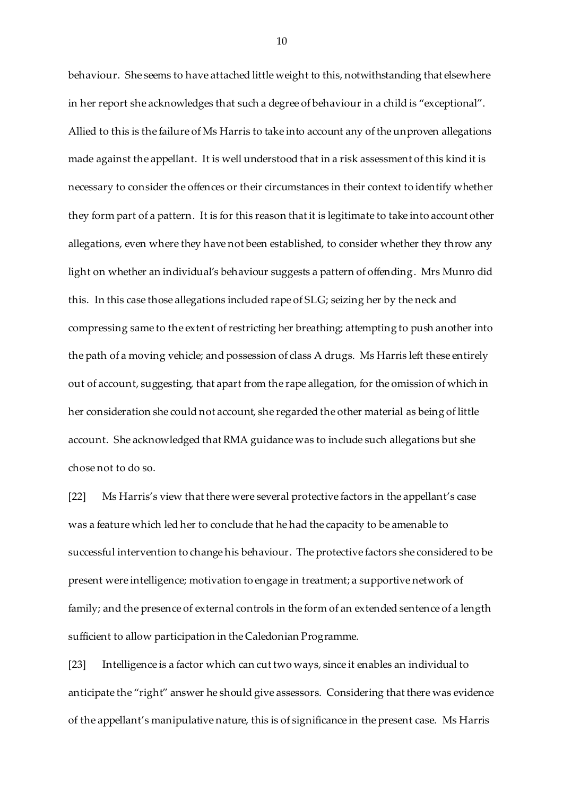behaviour. She seems to have attached little weight to this, notwithstanding that elsewhere in her report she acknowledges that such a degree of behaviour in a child is "exceptional". Allied to this is the failure of Ms Harris to take into account any of the unproven allegations made against the appellant. It is well understood that in a risk assessment of this kind it is necessary to consider the offences or their circumstances in their context to identify whether they form part of a pattern. It is for this reason that it is legitimate to take into account other allegations, even where they have not been established, to consider whether they throw any light on whether an individual's behaviour suggests a pattern of offending. Mrs Munro did this. In this case those allegations included rape of SLG; seizing her by the neck and compressing same to the extent of restricting her breathing; attempting to push another into the path of a moving vehicle; and possession of class A drugs. Ms Harris left these entirely out of account, suggesting, that apart from the rape allegation, for the omission of which in her consideration she could not account, she regarded the other material as being of little account. She acknowledged that RMA guidance was to include such allegations but she chose not to do so.

[22] Ms Harris's view that there were several protective factors in the appellant's case was a feature which led her to conclude that he had the capacity to be amenable to successful intervention to change his behaviour. The protective factors she considered to be present were intelligence; motivation to engage in treatment; a supportive network of family; and the presence of external controls in the form of an extended sentence of a length sufficient to allow participation in the Caledonian Programme.

[23] Intelligence is a factor which can cut two ways, since it enables an individual to anticipate the "right" answer he should give assessors. Considering that there was evidence of the appellant's manipulative nature, this is of significance in the present case. Ms Harris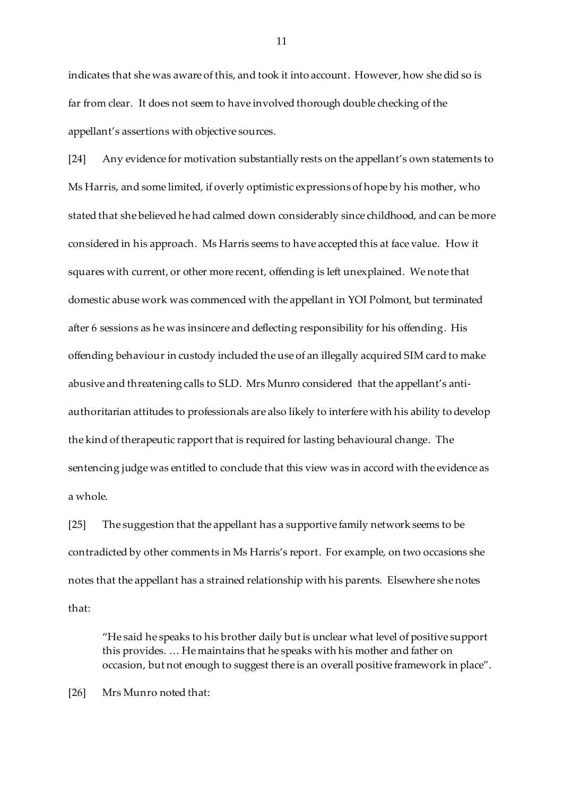indicates that she was aware of this, and took it into account. However, how she did so is far from clear. It does not seem to have involved thorough double checking of the appellant's assertions with objective sources.

[24] Any evidence for motivation substantially rests on the appellant's own statements to Ms Harris, and some limited, if overly optimistic expressions of hope by his mother, who stated that she believed he had calmed down considerably since childhood, and can be more considered in his approach. Ms Harris seems to have accepted this at face value. How it squares with current, or other more recent, offending is left unexplained. We note that domestic abuse work was commenced with the appellant in YOI Polmont, but terminated after 6 sessions as he was insincere and deflecting responsibility for his offending. His offending behaviour in custody included the use of an illegally acquired SIM card to make abusive and threatening calls to SLD. Mrs Munro considered that the appellant's antiauthoritarian attitudes to professionals are also likely to interfere with his ability to develop the kind of therapeutic rapport that is required for lasting behavioural change. The sentencing judge was entitled to conclude that this view was in accord with the evidence as a whole.

[25] The suggestion that the appellant has a supportive family network seems to be contradicted by other comments in Ms Harris's report. For example, on two occasions she notes that the appellant has a strained relationship with his parents. Elsewhere she notes that:

"He said he speaks to his brother daily but is unclear what level of positive support this provides. … He maintains that he speaks with his mother and father on occasion, but not enough to suggest there is an overall positive framework in place".

[26] Mrs Munro noted that: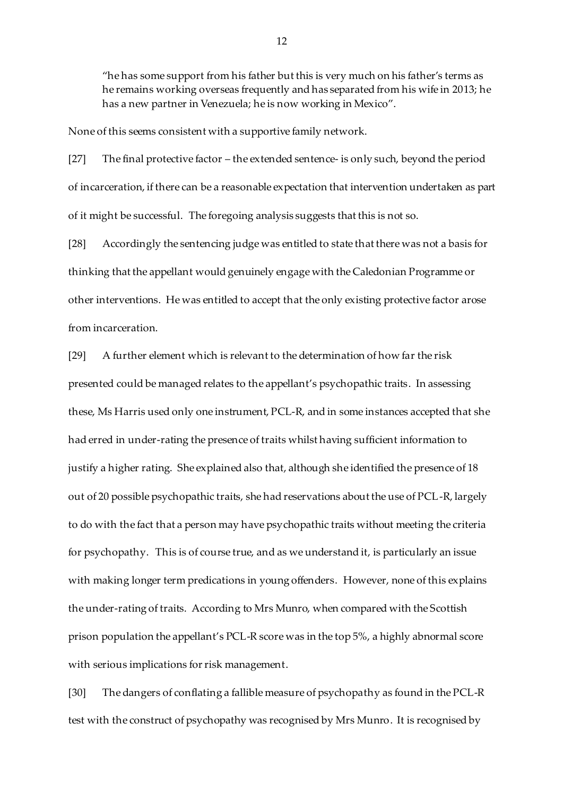"he has some support from his father but this is very much on his father's terms as he remains working overseas frequently and has separated from his wife in 2013; he has a new partner in Venezuela; he is now working in Mexico".

None of this seems consistent with a supportive family network.

[27] The final protective factor – the extended sentence- is only such, beyond the period of incarceration, if there can be a reasonable expectation that intervention undertaken as part of it might be successful. The foregoing analysis suggests that this is not so.

[28] Accordingly the sentencing judge was entitled to state that there was not a basis for thinking that the appellant would genuinely engage with the Caledonian Programme or other interventions. He was entitled to accept that the only existing protective factor arose from incarceration.

[29] A further element which is relevant to the determination of how far the risk presented could be managed relates to the appellant's psychopathic traits. In assessing these, Ms Harris used only one instrument, PCL-R, and in some instances accepted that she had erred in under-rating the presence of traits whilst having sufficient information to justify a higher rating. She explained also that, although she identified the presence of 18 out of 20 possible psychopathic traits, she had reservations about the use of PCL-R, largely to do with the fact that a person may have psychopathic traits without meeting the criteria for psychopathy. This is of course true, and as we understand it, is particularly an issue with making longer term predications in young offenders. However, none of this explains the under-rating of traits. According to Mrs Munro, when compared with the Scottish prison population the appellant's PCL-R score was in the top 5%, a highly abnormal score with serious implications for risk management.

[30] The dangers of conflating a fallible measure of psychopathy as found in the PCL-R test with the construct of psychopathy was recognised by Mrs Munro. It is recognised by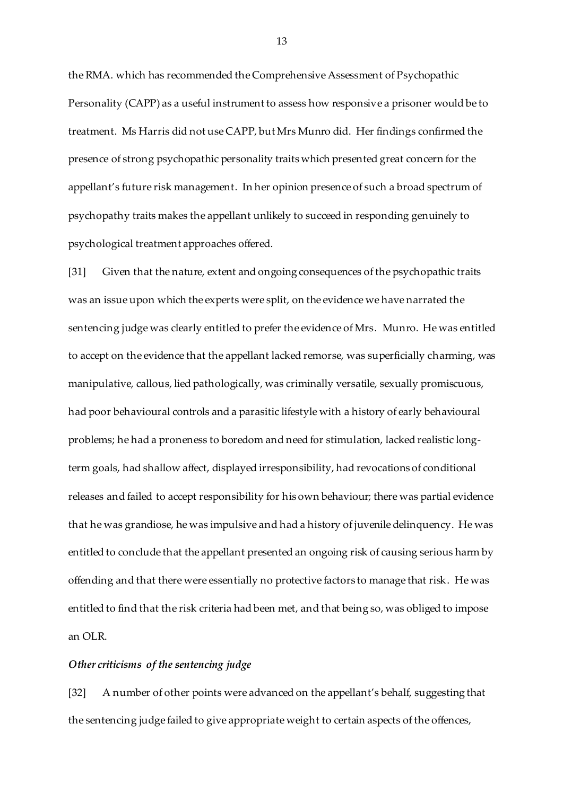the RMA. which has recommended the Comprehensive Assessment of Psychopathic Personality (CAPP) as a useful instrument to assess how responsive a prisoner would be to treatment. Ms Harris did not use CAPP, but Mrs Munro did. Her findings confirmed the presence of strong psychopathic personality traits which presented great concern for the appellant's future risk management. In her opinion presence of such a broad spectrum of psychopathy traits makes the appellant unlikely to succeed in responding genuinely to psychological treatment approaches offered.

[31] Given that the nature, extent and ongoing consequences of the psychopathic traits was an issue upon which the experts were split, on the evidence we have narrated the sentencing judge was clearly entitled to prefer the evidence of Mrs. Munro. He was entitled to accept on the evidence that the appellant lacked remorse, was superficially charming, was manipulative, callous, lied pathologically, was criminally versatile, sexually promiscuous, had poor behavioural controls and a parasitic lifestyle with a history of early behavioural problems; he had a proneness to boredom and need for stimulation, lacked realistic longterm goals, had shallow affect, displayed irresponsibility, had revocations of conditional releases and failed to accept responsibility for his own behaviour; there was partial evidence that he was grandiose, he was impulsive and had a history of juvenile delinquency. He was entitled to conclude that the appellant presented an ongoing risk of causing serious harm by offending and that there were essentially no protective factors to manage that risk. He was entitled to find that the risk criteria had been met, and that being so, was obliged to impose an OLR.

### *Other criticisms of the sentencing judge*

[32] A number of other points were advanced on the appellant's behalf, suggesting that the sentencing judge failed to give appropriate weight to certain aspects of the offences,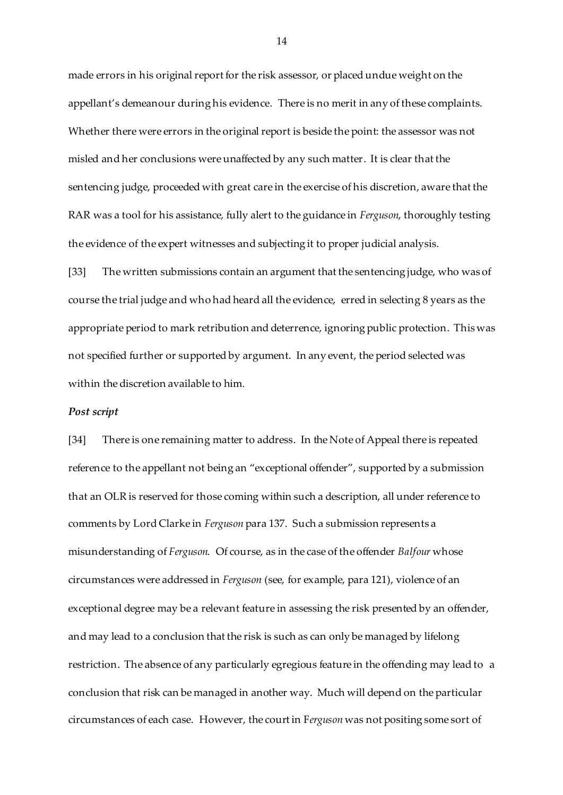made errors in his original report for the risk assessor, or placed undue weight on the appellant's demeanour during his evidence. There is no merit in any of these complaints. Whether there were errors in the original report is beside the point: the assessor was not misled and her conclusions were unaffected by any such matter. It is clear that the sentencing judge, proceeded with great care in the exercise of his discretion, aware that the RAR was a tool for his assistance, fully alert to the guidance in *Ferguson*, thoroughly testing the evidence of the expert witnesses and subjecting it to proper judicial analysis.

[33] The written submissions contain an argument that the sentencing judge, who was of course the trial judge and who had heard all the evidence, erred in selecting 8 years as the appropriate period to mark retribution and deterrence, ignoring public protection. This was not specified further or supported by argument. In any event, the period selected was within the discretion available to him.

#### *Post script*

[34] There is one remaining matter to address. In the Note of Appeal there is repeated reference to the appellant not being an "exceptional offender", supported by a submission that an OLR is reserved for those coming within such a description, all under reference to comments by Lord Clarke in *Ferguson* para 137. Such a submission represents a misunderstanding of *Ferguson.* Of course, as in the case of the offender *Balfour* whose circumstances were addressed in *Ferguson* (see, for example, para 121), violence of an exceptional degree may be a relevant feature in assessing the risk presented by an offender, and may lead to a conclusion that the risk is such as can only be managed by lifelong restriction. The absence of any particularly egregious feature in the offending may lead to a conclusion that risk can be managed in another way. Much will depend on the particular circumstances of each case. However, the court in F*erguson* was not positing some sort of